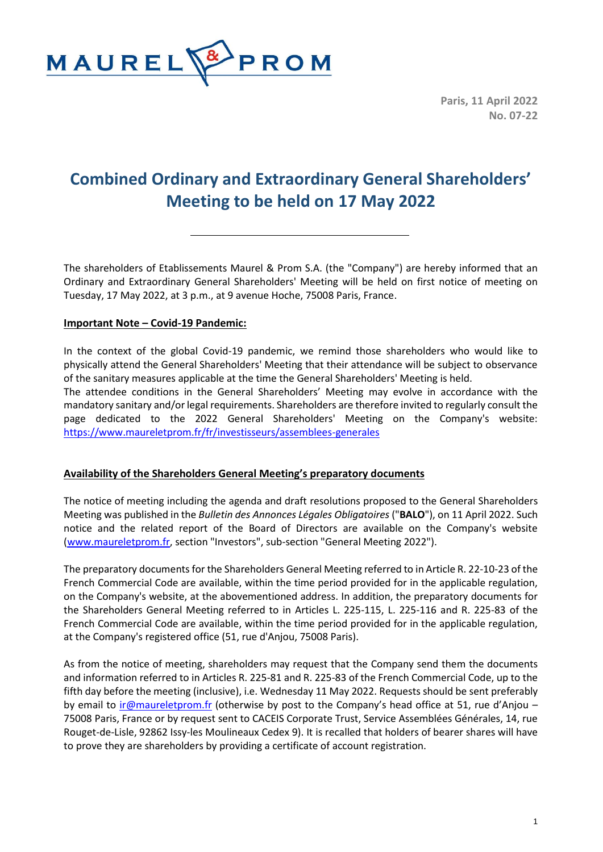

**Paris, 11 April 2022 No. 07-22**

# **Combined Ordinary and Extraordinary General Shareholders' Meeting to be held on 17 May 2022**

The shareholders of Etablissements Maurel & Prom S.A. (the "Company") are hereby informed that an Ordinary and Extraordinary General Shareholders' Meeting will be held on first notice of meeting on Tuesday, 17 May 2022, at 3 p.m., at 9 avenue Hoche, 75008 Paris, France.

## **Important Note – Covid-19 Pandemic:**

In the context of the global Covid-19 pandemic, we remind those shareholders who would like to physically attend the General Shareholders' Meeting that their attendance will be subject to observance of the sanitary measures applicable at the time the General Shareholders' Meeting is held.

The attendee conditions in the General Shareholders' Meeting may evolve in accordance with the mandatory sanitary and/or legal requirements. Shareholders are therefore invited to regularly consult the page dedicated to the 2022 General Shareholders' Meeting on the Company's website: <https://www.maureletprom.fr/fr/investisseurs/assemblees-generales>

## **Availability of the Shareholders General Meeting's preparatory documents**

The notice of meeting including the agenda and draft resolutions proposed to the General Shareholders Meeting was published in the *Bulletin des Annonces Légales Obligatoires* ("**BALO**"), on 11 April 2022. Such notice and the related report of the Board of Directors are available on the Company's website [\(www.maureletprom.fr,](http://www.maureletprom.fr/) section "Investors", sub-section "General Meeting 2022").

The preparatory documents for the Shareholders General Meeting referred to in Article R. 22-10-23 of the French Commercial Code are available, within the time period provided for in the applicable regulation, on the Company's website, at the abovementioned address. In addition, the preparatory documents for the Shareholders General Meeting referred to in Articles L. 225-115, L. 225-116 and R. 225-83 of the French Commercial Code are available, within the time period provided for in the applicable regulation, at the Company's registered office (51, rue d'Anjou, 75008 Paris).

As from the notice of meeting, shareholders may request that the Company send them the documents and information referred to in Articles R. 225-81 and R. 225-83 of the French Commercial Code, up to the fifth day before the meeting (inclusive), i.e. Wednesday 11 May 2022. Requests should be sent preferably by email to [ir@maureletprom.fr](mailto:ir@maureletprom.fr) (otherwise by post to the Company's head office at 51, rue d'Anjou – 75008 Paris, France or by request sent to CACEIS Corporate Trust, Service Assemblées Générales, 14, rue Rouget-de-Lisle, 92862 Issy-les Moulineaux Cedex 9). It is recalled that holders of bearer shares will have to prove they are shareholders by providing a certificate of account registration.